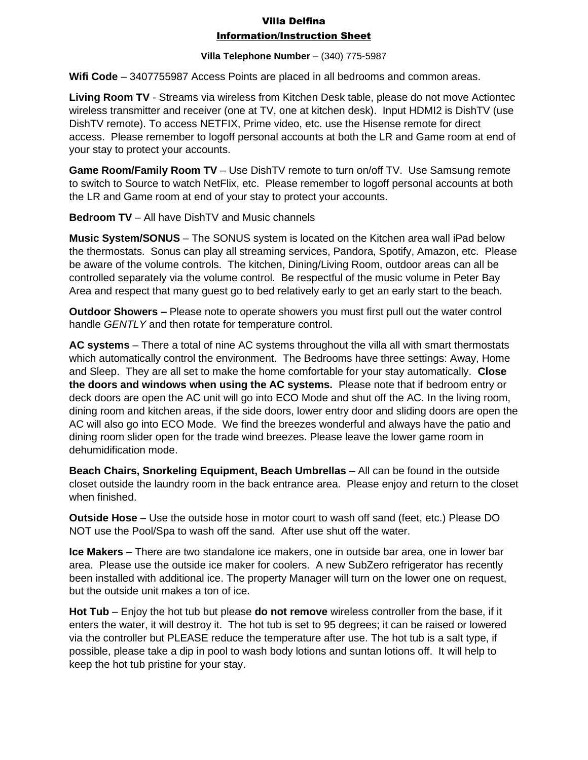# Villa Delfina Information/Instruction Sheet

### **Villa Telephone Number** – (340) 775-5987

**Wifi Code** – 3407755987 Access Points are placed in all bedrooms and common areas.

**Living Room TV** - Streams via wireless from Kitchen Desk table, please do not move Actiontec wireless transmitter and receiver (one at TV, one at kitchen desk). Input HDMI2 is DishTV (use DishTV remote). To access NETFIX, Prime video, etc. use the Hisense remote for direct access. Please remember to logoff personal accounts at both the LR and Game room at end of your stay to protect your accounts.

**Game Room/Family Room TV** – Use DishTV remote to turn on/off TV. Use Samsung remote to switch to Source to watch NetFlix, etc. Please remember to logoff personal accounts at both the LR and Game room at end of your stay to protect your accounts.

**Bedroom TV** – All have DishTV and Music channels

**Music System/SONUS** – The SONUS system is located on the Kitchen area wall iPad below the thermostats. Sonus can play all streaming services, Pandora, Spotify, Amazon, etc. Please be aware of the volume controls. The kitchen, Dining/Living Room, outdoor areas can all be controlled separately via the volume control. Be respectful of the music volume in Peter Bay Area and respect that many guest go to bed relatively early to get an early start to the beach.

**Outdoor Showers –** Please note to operate showers you must first pull out the water control handle *GENTLY* and then rotate for temperature control.

**AC systems** – There a total of nine AC systems throughout the villa all with smart thermostats which automatically control the environment. The Bedrooms have three settings: Away, Home and Sleep. They are all set to make the home comfortable for your stay automatically. **Close the doors and windows when using the AC systems.** Please note that if bedroom entry or deck doors are open the AC unit will go into ECO Mode and shut off the AC. In the living room, dining room and kitchen areas, if the side doors, lower entry door and sliding doors are open the AC will also go into ECO Mode. We find the breezes wonderful and always have the patio and dining room slider open for the trade wind breezes. Please leave the lower game room in dehumidification mode.

**Beach Chairs, Snorkeling Equipment, Beach Umbrellas** – All can be found in the outside closet outside the laundry room in the back entrance area. Please enjoy and return to the closet when finished.

**Outside Hose** – Use the outside hose in motor court to wash off sand (feet, etc.) Please DO NOT use the Pool/Spa to wash off the sand. After use shut off the water.

**Ice Makers** – There are two standalone ice makers, one in outside bar area, one in lower bar area. Please use the outside ice maker for coolers. A new SubZero refrigerator has recently been installed with additional ice. The property Manager will turn on the lower one on request, but the outside unit makes a ton of ice.

**Hot Tub** – Enjoy the hot tub but please **do not remove** wireless controller from the base, if it enters the water, it will destroy it. The hot tub is set to 95 degrees; it can be raised or lowered via the controller but PLEASE reduce the temperature after use. The hot tub is a salt type, if possible, please take a dip in pool to wash body lotions and suntan lotions off. It will help to keep the hot tub pristine for your stay.